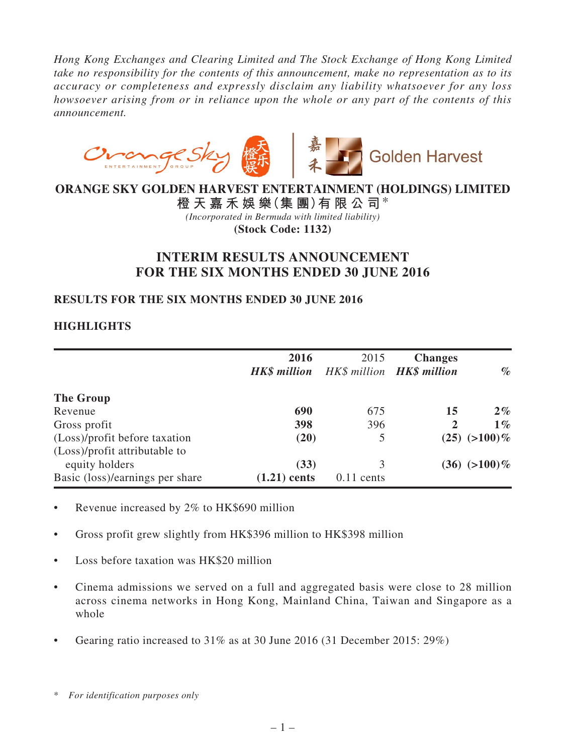*Hong Kong Exchanges and Clearing Limited and The Stock Exchange of Hong Kong Limited take no responsibility for the contents of this announcement, make no representation as to its accuracy or completeness and expressly disclaim any liability whatsoever for any loss howsoever arising from or in reliance upon the whole or any part of the contents of this announcement.*



**ORANGE SKY GOLDEN HARVEST ENTERTAINMENT (HOLDINGS) LIMITED**

**橙 天 嘉 禾 娛 樂(集 團)有 限 公 司**\* *(Incorporated in Bermuda with limited liability)* **(Stock Code: 1132)**

# **INTERIM RESULTS ANNOUNCEMENT FOR THE SIX MONTHS ENDED 30 JUNE 2016**

# **RESULTS FOR THE SIX MONTHS ENDED 30 JUNE 2016**

# **HIGHLIGHTS**

|                                                                | 2016<br><b>HK\$</b> million | 2015<br>HK\$ million <b>HK\$ million</b> | <b>Changes</b> | $\%$              |
|----------------------------------------------------------------|-----------------------------|------------------------------------------|----------------|-------------------|
| The Group                                                      |                             |                                          |                |                   |
| Revenue                                                        | 690                         | 675                                      | 15             | $2\%$             |
| Gross profit                                                   | 398                         | 396                                      | 2              | $1\%$             |
| (Loss)/profit before taxation<br>(Loss)/profit attributable to | (20)                        | 5                                        |                | $(25)$ $(>100)\%$ |
| equity holders                                                 | (33)                        | 3                                        |                | $(36)$ $(>100)\%$ |
| Basic (loss)/earnings per share                                | $(1.21)$ cents              | $0.11$ cents                             |                |                   |

- Revenue increased by  $2\%$  to HK\$690 million
- Gross profit grew slightly from HK\$396 million to HK\$398 million
- Loss before taxation was HK\$20 million
- Cinema admissions we served on a full and aggregated basis were close to 28 million across cinema networks in Hong Kong, Mainland China, Taiwan and Singapore as a whole
- Gearing ratio increased to  $31\%$  as at 30 June 2016 (31 December 2015: 29%)

<sup>\*</sup> *For identification purposes only*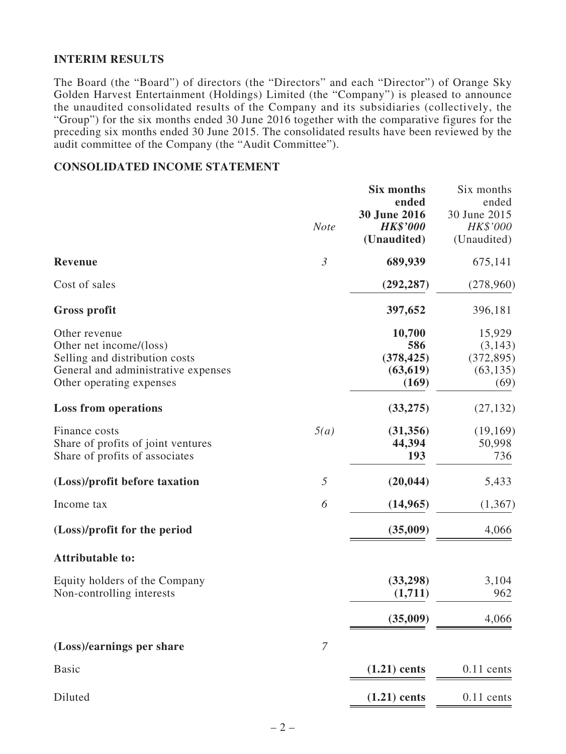### **INTERIM RESULTS**

The Board (the "Board") of directors (the "Directors" and each "Director") of Orange Sky Golden Harvest Entertainment (Holdings) Limited (the "Company") is pleased to announce the unaudited consolidated results of the Company and its subsidiaries (collectively, the "Group") for the six months ended 30 June 2016 together with the comparative figures for the preceding six months ended 30 June 2015. The consolidated results have been reviewed by the audit committee of the Company (the "Audit Committee").

### **CONSOLIDATED INCOME STATEMENT**

|                                                                                                                                               | <b>Note</b>    | <b>Six months</b><br>ended<br>30 June 2016<br><b>HK\$'000</b><br>(Unaudited) | Six months<br>ended<br>30 June 2015<br>HK\$'000<br>(Unaudited) |
|-----------------------------------------------------------------------------------------------------------------------------------------------|----------------|------------------------------------------------------------------------------|----------------------------------------------------------------|
| <b>Revenue</b>                                                                                                                                | $\mathfrak{Z}$ | 689,939                                                                      | 675,141                                                        |
| Cost of sales                                                                                                                                 |                | (292, 287)                                                                   | (278,960)                                                      |
| <b>Gross profit</b>                                                                                                                           |                | 397,652                                                                      | 396,181                                                        |
| Other revenue<br>Other net income/(loss)<br>Selling and distribution costs<br>General and administrative expenses<br>Other operating expenses |                | 10,700<br>586<br>(378, 425)<br>(63, 619)<br>(169)                            | 15,929<br>(3, 143)<br>(372, 895)<br>(63, 135)<br>(69)          |
| <b>Loss from operations</b>                                                                                                                   |                | (33, 275)                                                                    | (27, 132)                                                      |
| Finance costs<br>Share of profits of joint ventures<br>Share of profits of associates                                                         | 5(a)           | (31, 356)<br>44,394<br>193                                                   | (19,169)<br>50,998<br>736                                      |
| (Loss)/profit before taxation                                                                                                                 | 5              | (20, 044)                                                                    | 5,433                                                          |
| Income tax                                                                                                                                    | 6              | (14, 965)                                                                    | (1,367)                                                        |
| (Loss)/profit for the period                                                                                                                  |                | (35,009)                                                                     | 4,066                                                          |
| <b>Attributable to:</b>                                                                                                                       |                |                                                                              |                                                                |
| Equity holders of the Company<br>Non-controlling interests                                                                                    |                | (33,298)<br>(1,711)                                                          | 3,104<br>962                                                   |
|                                                                                                                                               |                | (35,009)                                                                     | 4,066                                                          |
| (Loss)/earnings per share                                                                                                                     | $\mathcal{I}$  |                                                                              |                                                                |
| <b>Basic</b>                                                                                                                                  |                | $(1.21)$ cents                                                               | $0.11$ cents                                                   |
| Diluted                                                                                                                                       |                | $(1.21)$ cents                                                               | $0.11$ cents                                                   |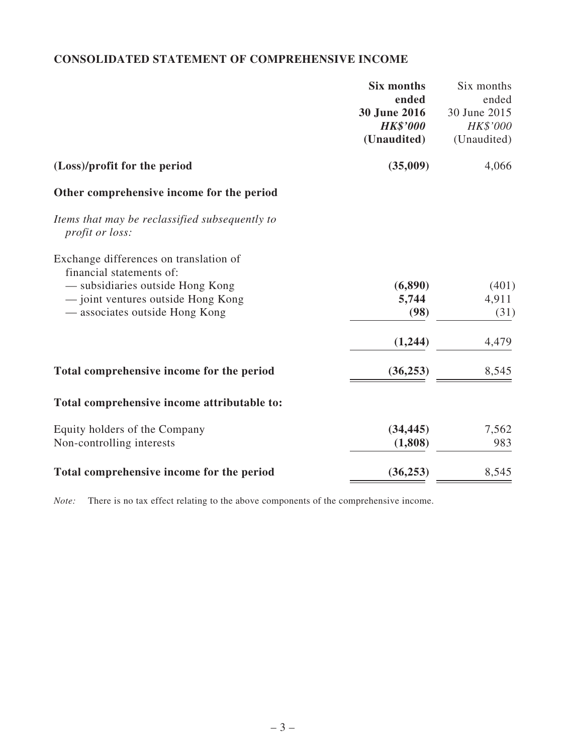# **CONSOLIDATED STATEMENT OF COMPREHENSIVE INCOME**

|                                                                          | <b>Six months</b> | Six months   |
|--------------------------------------------------------------------------|-------------------|--------------|
|                                                                          | ended             | ended        |
|                                                                          | 30 June 2016      | 30 June 2015 |
|                                                                          | <b>HK\$'000</b>   | HK\$'000     |
|                                                                          | (Unaudited)       | (Unaudited)  |
| (Loss)/profit for the period                                             | (35,009)          | 4,066        |
| Other comprehensive income for the period                                |                   |              |
| Items that may be reclassified subsequently to<br><i>profit or loss:</i> |                   |              |
| Exchange differences on translation of                                   |                   |              |
| financial statements of:                                                 |                   |              |
| - subsidiaries outside Hong Kong                                         | (6, 890)          | (401)        |
| - joint ventures outside Hong Kong                                       | 5,744             | 4,911        |
| — associates outside Hong Kong                                           | (98)              | (31)         |
|                                                                          | (1,244)           | 4,479        |
| Total comprehensive income for the period                                | (36, 253)         | 8,545        |
| Total comprehensive income attributable to:                              |                   |              |
| Equity holders of the Company                                            | (34, 445)         | 7,562        |
| Non-controlling interests                                                | (1,808)           | 983          |
| Total comprehensive income for the period                                | (36, 253)         | 8,545        |

*Note:* There is no tax effect relating to the above components of the comprehensive income.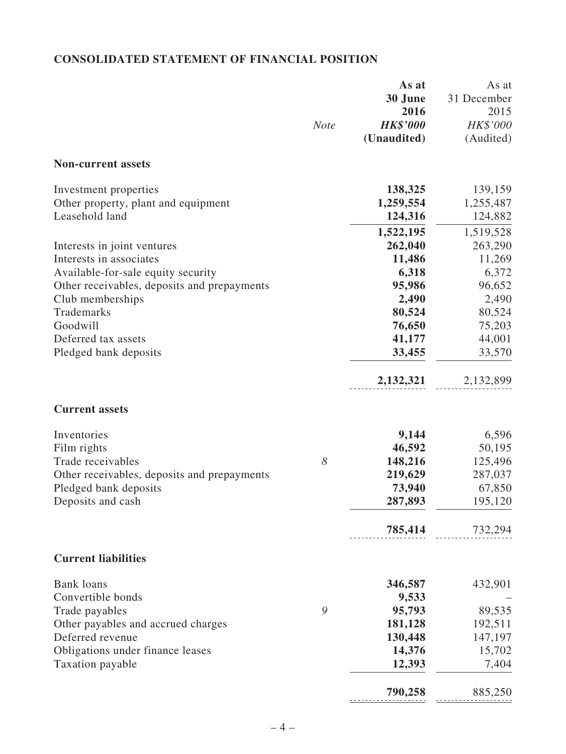# **CONSOLIDATED STATEMENT OF FINANCIAL POSITION**

|                                             |                       | As at           | As at       |
|---------------------------------------------|-----------------------|-----------------|-------------|
|                                             |                       | 30 June         | 31 December |
|                                             |                       | 2016            | 2015        |
|                                             | <b>Note</b>           | <b>HK\$'000</b> | HK\$'000    |
|                                             |                       | (Unaudited)     | (Audited)   |
| <b>Non-current assets</b>                   |                       |                 |             |
| Investment properties                       |                       | 138,325         | 139,159     |
| Other property, plant and equipment         |                       | 1,259,554       | 1,255,487   |
| Leasehold land                              |                       | 124,316         | 124,882     |
|                                             |                       | 1,522,195       | 1,519,528   |
| Interests in joint ventures                 |                       | 262,040         | 263,290     |
| Interests in associates                     |                       | 11,486          | 11,269      |
| Available-for-sale equity security          |                       | 6,318           | 6,372       |
| Other receivables, deposits and prepayments |                       | 95,986          | 96,652      |
| Club memberships                            |                       | 2,490           | 2,490       |
| Trademarks                                  |                       | 80,524          | 80,524      |
| Goodwill                                    |                       | 76,650          | 75,203      |
| Deferred tax assets                         |                       | 41,177          | 44,001      |
| Pledged bank deposits                       |                       | 33,455          | 33,570      |
|                                             |                       |                 |             |
|                                             |                       | 2,132,321       | 2,132,899   |
| <b>Current assets</b>                       |                       |                 |             |
| Inventories                                 |                       | 9,144           | 6,596       |
| Film rights                                 |                       | 46,592          | 50,195      |
| Trade receivables                           | $\boldsymbol{\delta}$ | 148,216         | 125,496     |
| Other receivables, deposits and prepayments |                       | 219,629         | 287,037     |
| Pledged bank deposits                       |                       | 73,940          | 67,850      |
| Deposits and cash                           |                       | 287,893         | 195,120     |
|                                             |                       | 785,414         | 732,294     |
|                                             |                       |                 |             |
| <b>Current liabilities</b>                  |                       |                 |             |
| <b>Bank</b> loans                           |                       | 346,587         | 432,901     |
| Convertible bonds                           |                       | 9,533           |             |
| Trade payables                              | 9                     | 95,793          | 89,535      |
| Other payables and accrued charges          |                       | 181,128         | 192,511     |
| Deferred revenue                            |                       | 130,448         | 147,197     |
| Obligations under finance leases            |                       | 14,376          | 15,702      |
| Taxation payable                            |                       | 12,393          | 7,404       |
|                                             |                       | 790,258         | 885,250     |
|                                             |                       |                 |             |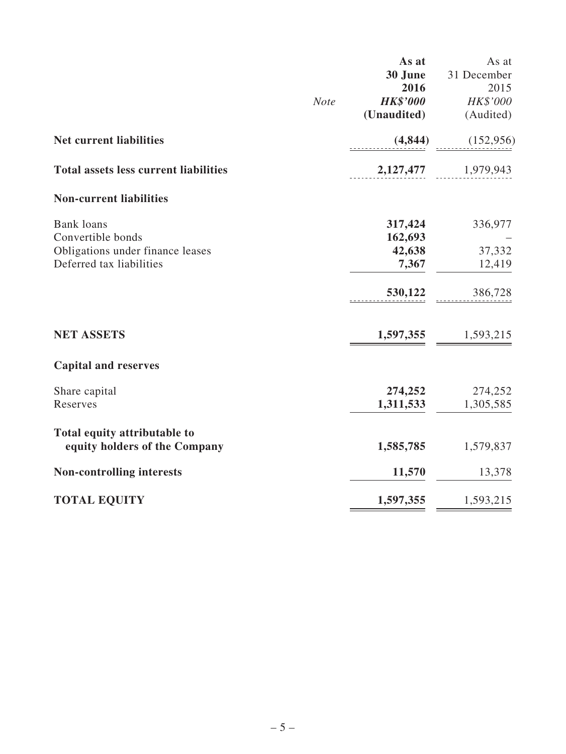|                                              | As at           | As at       |
|----------------------------------------------|-----------------|-------------|
|                                              | 30 June         | 31 December |
|                                              | 2016            | 2015        |
| <b>Note</b>                                  | <b>HK\$'000</b> | HK\$'000    |
|                                              | (Unaudited)     | (Audited)   |
|                                              |                 |             |
| <b>Net current liabilities</b>               | (4,844)         | (152, 956)  |
| <b>Total assets less current liabilities</b> | 2,127,477       | 1,979,943   |
| <b>Non-current liabilities</b>               |                 |             |
| <b>Bank</b> loans                            | 317,424         | 336,977     |
| Convertible bonds                            | 162,693         |             |
| Obligations under finance leases             | 42,638          | 37,332      |
| Deferred tax liabilities                     | 7,367           | 12,419      |
|                                              | 530,122         | 386,728     |
| <b>NET ASSETS</b>                            | 1,597,355       | 1,593,215   |
| <b>Capital and reserves</b>                  |                 |             |
| Share capital                                | 274,252         | 274,252     |
| Reserves                                     | 1,311,533       | 1,305,585   |
| Total equity attributable to                 |                 |             |
| equity holders of the Company                | 1,585,785       | 1,579,837   |
| <b>Non-controlling interests</b>             | 11,570          | 13,378      |
| <b>TOTAL EQUITY</b>                          | 1,597,355       | 1,593,215   |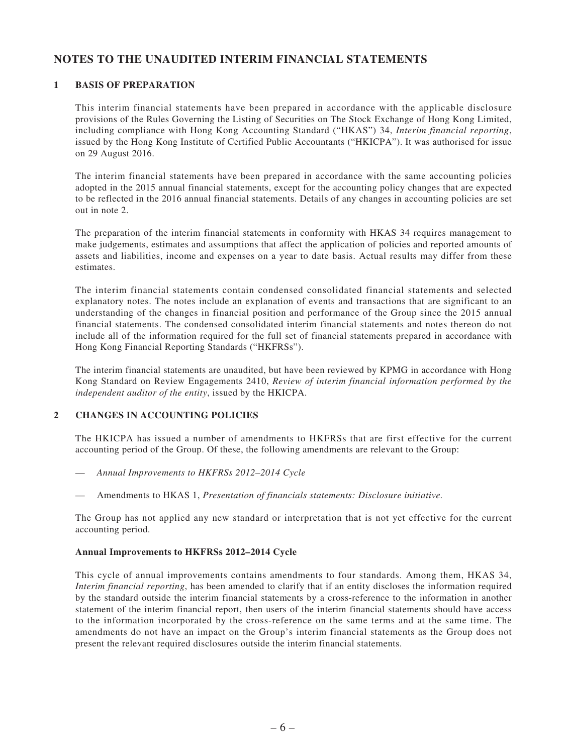### **NOTES TO THE UNAUDITED INTERIM FINANCIAL STATEMENTS**

#### **1 BASIS OF PREPARATION**

This interim financial statements have been prepared in accordance with the applicable disclosure provisions of the Rules Governing the Listing of Securities on The Stock Exchange of Hong Kong Limited, including compliance with Hong Kong Accounting Standard ("HKAS") 34, *Interim financial reporting*, issued by the Hong Kong Institute of Certified Public Accountants ("HKICPA"). It was authorised for issue on 29 August 2016.

The interim financial statements have been prepared in accordance with the same accounting policies adopted in the 2015 annual financial statements, except for the accounting policy changes that are expected to be reflected in the 2016 annual financial statements. Details of any changes in accounting policies are set out in note 2.

The preparation of the interim financial statements in conformity with HKAS 34 requires management to make judgements, estimates and assumptions that affect the application of policies and reported amounts of assets and liabilities, income and expenses on a year to date basis. Actual results may differ from these estimates.

The interim financial statements contain condensed consolidated financial statements and selected explanatory notes. The notes include an explanation of events and transactions that are significant to an understanding of the changes in financial position and performance of the Group since the 2015 annual financial statements. The condensed consolidated interim financial statements and notes thereon do not include all of the information required for the full set of financial statements prepared in accordance with Hong Kong Financial Reporting Standards ("HKFRSs").

The interim financial statements are unaudited, but have been reviewed by KPMG in accordance with Hong Kong Standard on Review Engagements 2410, *Review of interim financial information performed by the independent auditor of the entity*, issued by the HKICPA.

#### **2 CHANGES IN ACCOUNTING POLICIES**

The HKICPA has issued a number of amendments to HKFRSs that are first effective for the current accounting period of the Group. Of these, the following amendments are relevant to the Group:

- *Annual Improvements to HKFRSs 2012–2014 Cycle*
- Amendments to HKAS 1, *Presentation of financials statements: Disclosure initiative.*

The Group has not applied any new standard or interpretation that is not yet effective for the current accounting period.

#### **Annual Improvements to HKFRSs 2012–2014 Cycle**

This cycle of annual improvements contains amendments to four standards. Among them, HKAS 34, *Interim financial reporting*, has been amended to clarify that if an entity discloses the information required by the standard outside the interim financial statements by a cross-reference to the information in another statement of the interim financial report, then users of the interim financial statements should have access to the information incorporated by the cross-reference on the same terms and at the same time. The amendments do not have an impact on the Group's interim financial statements as the Group does not present the relevant required disclosures outside the interim financial statements.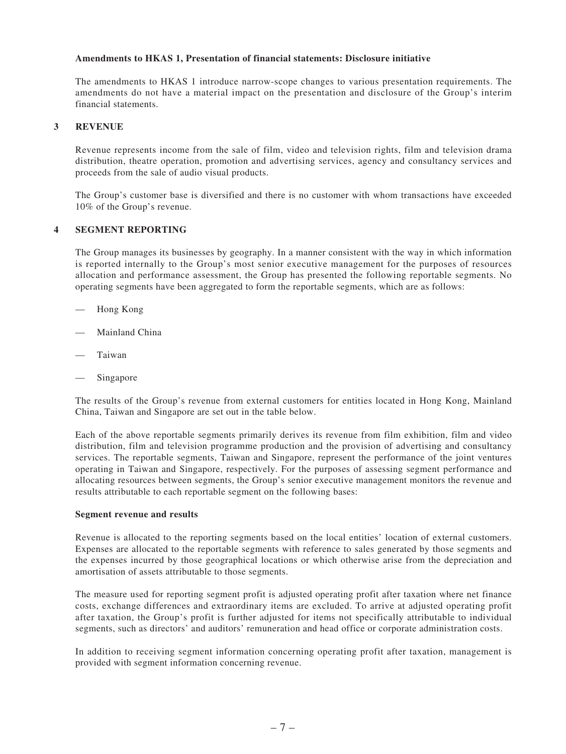#### **Amendments to HKAS 1, Presentation of financial statements: Disclosure initiative**

The amendments to HKAS 1 introduce narrow-scope changes to various presentation requirements. The amendments do not have a material impact on the presentation and disclosure of the Group's interim financial statements.

#### **3 REVENUE**

Revenue represents income from the sale of film, video and television rights, film and television drama distribution, theatre operation, promotion and advertising services, agency and consultancy services and proceeds from the sale of audio visual products.

The Group's customer base is diversified and there is no customer with whom transactions have exceeded 10% of the Group's revenue.

#### **4 SEGMENT REPORTING**

The Group manages its businesses by geography. In a manner consistent with the way in which information is reported internally to the Group's most senior executive management for the purposes of resources allocation and performance assessment, the Group has presented the following reportable segments. No operating segments have been aggregated to form the reportable segments, which are as follows:

- Hong Kong
- Mainland China
- **Taiwan**
- Singapore

The results of the Group's revenue from external customers for entities located in Hong Kong, Mainland China, Taiwan and Singapore are set out in the table below.

Each of the above reportable segments primarily derives its revenue from film exhibition, film and video distribution, film and television programme production and the provision of advertising and consultancy services. The reportable segments, Taiwan and Singapore, represent the performance of the joint ventures operating in Taiwan and Singapore, respectively. For the purposes of assessing segment performance and allocating resources between segments, the Group's senior executive management monitors the revenue and results attributable to each reportable segment on the following bases:

#### **Segment revenue and results**

Revenue is allocated to the reporting segments based on the local entities' location of external customers. Expenses are allocated to the reportable segments with reference to sales generated by those segments and the expenses incurred by those geographical locations or which otherwise arise from the depreciation and amortisation of assets attributable to those segments.

The measure used for reporting segment profit is adjusted operating profit after taxation where net finance costs, exchange differences and extraordinary items are excluded. To arrive at adjusted operating profit after taxation, the Group's profit is further adjusted for items not specifically attributable to individual segments, such as directors' and auditors' remuneration and head office or corporate administration costs.

In addition to receiving segment information concerning operating profit after taxation, management is provided with segment information concerning revenue.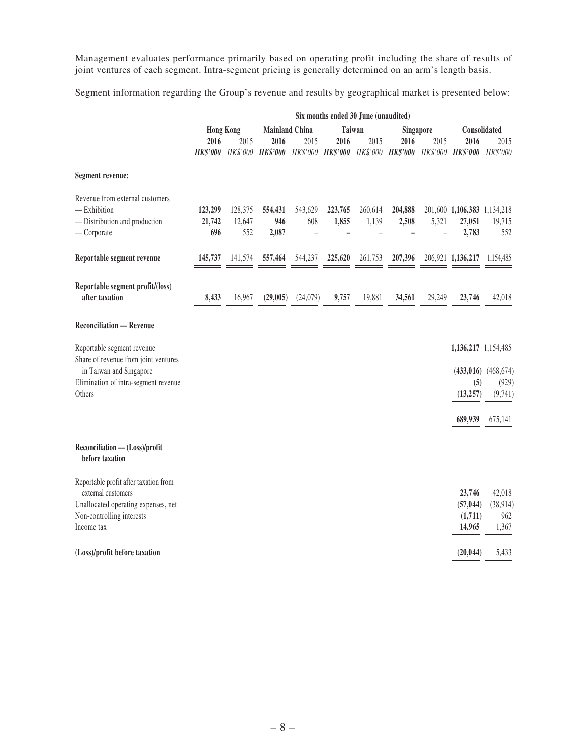Management evaluates performance primarily based on operating profit including the share of results of joint ventures of each segment. Intra-segment pricing is generally determined on an arm's length basis.

Segment information regarding the Group's revenue and results by geographical market is presented below:

|                                                                                                                                                 | Six months ended 30 June (unaudited)      |                          |                         |                                     |                  |                  |                  |        |                                                                                                   |                                                        |
|-------------------------------------------------------------------------------------------------------------------------------------------------|-------------------------------------------|--------------------------|-------------------------|-------------------------------------|------------------|------------------|------------------|--------|---------------------------------------------------------------------------------------------------|--------------------------------------------------------|
|                                                                                                                                                 | <b>Hong Kong</b><br><b>Mainland China</b> |                          |                         | Taiwan<br>Singapore                 |                  |                  | Consolidated     |        |                                                                                                   |                                                        |
|                                                                                                                                                 | 2016                                      | 2015                     | 2016                    | 2015                                | 2016             | 2015             | 2016             | 2015   | 2016<br>HK\$'000 HK\$'000 HK\$'000 HK\$'000 HK\$'000 HK\$'000 HK\$'000 HK\$'000 HK\$'000 HK\$'000 | 2015                                                   |
| Segment revenue:                                                                                                                                |                                           |                          |                         |                                     |                  |                  |                  |        |                                                                                                   |                                                        |
| Revenue from external customers<br>$-$ Exhibition<br>- Distribution and production<br>$-$ Corporate                                             | 123,299<br>21,742<br>696                  | 128,375<br>12,647<br>552 | 554,431<br>946<br>2,087 | 543,629<br>608<br>$\qquad \qquad -$ | 223,765<br>1,855 | 260,614<br>1,139 | 204,888<br>2,508 | 5,321  | 201,600 1,106,383 1,134,218<br>27,051<br>2,783                                                    | 19,715<br>552                                          |
| Reportable segment revenue                                                                                                                      | 145,737                                   | 141,574                  | 557,464                 | 544,237                             | 225,620          | 261,753          | 207,396          |        | 206,921 1,136,217                                                                                 | 1,154,485                                              |
| Reportable segment profit/(loss)<br>after taxation                                                                                              | 8,433                                     | 16,967                   | (29,005)                | (24,079)                            | 9,757            | 19,881           | 34,561           | 29,249 | 23,746                                                                                            | 42,018                                                 |
| <b>Reconciliation — Revenue</b>                                                                                                                 |                                           |                          |                         |                                     |                  |                  |                  |        |                                                                                                   |                                                        |
| Reportable segment revenue<br>Share of revenue from joint ventures<br>in Taiwan and Singapore<br>Elimination of intra-segment revenue<br>Others |                                           |                          |                         |                                     |                  |                  |                  |        | 1,136,217 1,154,485<br>(5)<br>(13, 257)<br>689,939                                                | $(433,016)$ $(468,674)$<br>(929)<br>(9,741)<br>675,141 |
| Reconciliation - (Loss)/profit<br>before taxation                                                                                               |                                           |                          |                         |                                     |                  |                  |                  |        |                                                                                                   |                                                        |
| Reportable profit after taxation from<br>external customers<br>Unallocated operating expenses, net<br>Non-controlling interests<br>Income tax   |                                           |                          |                         |                                     |                  |                  |                  |        | 23,746<br>(57, 044)<br>(1,711)<br>14,965                                                          | 42,018<br>(38, 914)<br>962<br>1,367                    |
| (Loss)/profit before taxation                                                                                                                   |                                           |                          |                         |                                     |                  |                  |                  |        | (20, 044)                                                                                         | 5,433                                                  |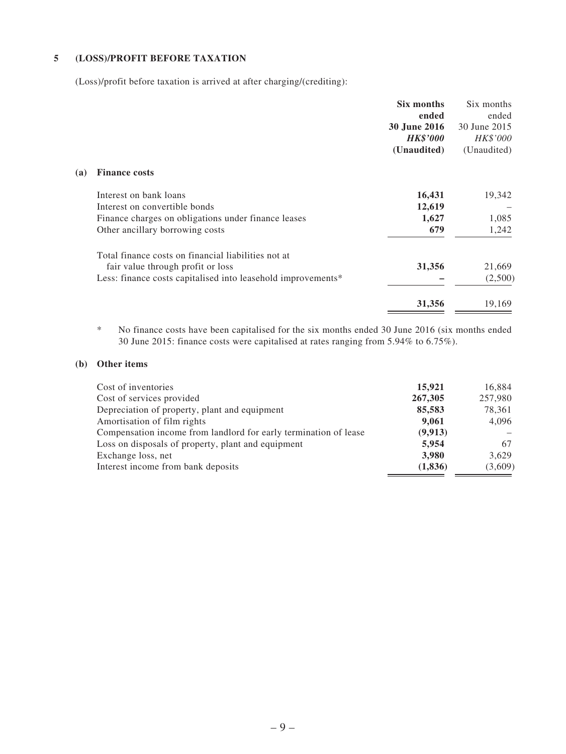#### **5 (LOSS)/PROFIT BEFORE TAXATION**

(Loss)/profit before taxation is arrived at after charging/(crediting):

| Six months      | Six months   |
|-----------------|--------------|
| ended           | ended        |
| 30 June 2016    | 30 June 2015 |
| <b>HK\$'000</b> | HK\$'000     |
| (Unaudited)     | (Unaudited)  |
|                 |              |
| 16,431          | 19,342       |
| 12,619          |              |
| 1,627           | 1,085        |
| 679             | 1,242        |
|                 |              |
|                 | 21,669       |
|                 | (2,500)      |
| 31,356          | 19,169       |
|                 | 31,356       |

\* No finance costs have been capitalised for the six months ended 30 June 2016 (six months ended 30 June 2015: finance costs were capitalised at rates ranging from 5.94% to 6.75%).

#### **(b) Other items**

| Cost of inventories                                              | 15,921   | 16,884  |
|------------------------------------------------------------------|----------|---------|
| Cost of services provided                                        | 267,305  | 257,980 |
| Depreciation of property, plant and equipment                    | 85,583   | 78,361  |
| Amortisation of film rights                                      | 9,061    | 4,096   |
| Compensation income from landlord for early termination of lease | (9, 913) |         |
| Loss on disposals of property, plant and equipment               | 5,954    | 67      |
| Exchange loss, net                                               | 3,980    | 3,629   |
| Interest income from bank deposits                               | (1, 836) | (3,609) |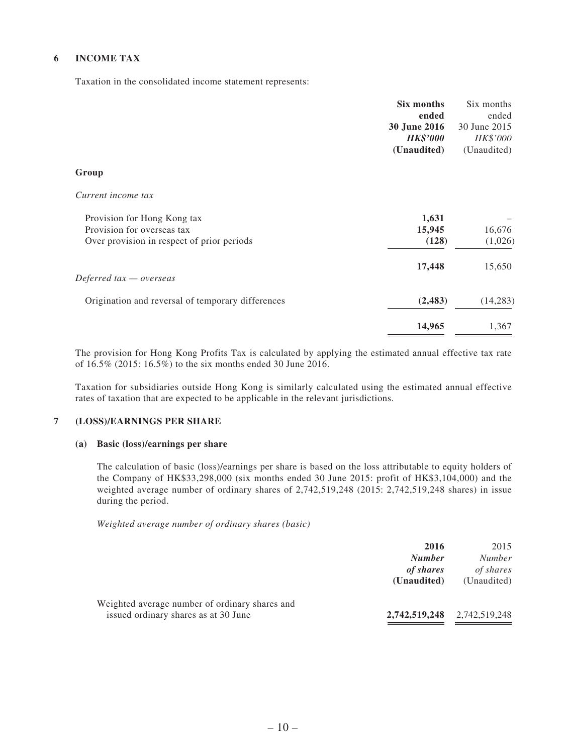#### **6 INCOME TAX**

Taxation in the consolidated income statement represents:

|                                                   | Six months          | Six months   |
|---------------------------------------------------|---------------------|--------------|
|                                                   | ended               | ended        |
|                                                   | <b>30 June 2016</b> | 30 June 2015 |
|                                                   | <b>HK\$'000</b>     | HK\$'000     |
|                                                   | (Unaudited)         | (Unaudited)  |
| Group                                             |                     |              |
| Current income tax                                |                     |              |
| Provision for Hong Kong tax                       | 1,631               |              |
| Provision for overseas tax                        | 15,945              | 16,676       |
| Over provision in respect of prior periods        | (128)               | (1,026)      |
|                                                   | 17,448              | 15,650       |
| Deferred $tax -overse$                            |                     |              |
| Origination and reversal of temporary differences | (2, 483)            | (14, 283)    |
|                                                   | 14,965              | 1,367        |
|                                                   |                     |              |

The provision for Hong Kong Profits Tax is calculated by applying the estimated annual effective tax rate of 16.5% (2015: 16.5%) to the six months ended 30 June 2016.

Taxation for subsidiaries outside Hong Kong is similarly calculated using the estimated annual effective rates of taxation that are expected to be applicable in the relevant jurisdictions.

#### **7 (LOSS)/EARNINGS PER SHARE**

#### **(a) Basic (loss)/earnings per share**

The calculation of basic (loss)/earnings per share is based on the loss attributable to equity holders of the Company of HK\$33,298,000 (six months ended 30 June 2015: profit of HK\$3,104,000) and the weighted average number of ordinary shares of 2,742,519,248 (2015: 2,742,519,248 shares) in issue during the period.

*Weighted average number of ordinary shares (basic)*

|                                                                                        | 2016<br><b>Number</b><br>of shares<br>(Unaudited) | 2015<br><i>Number</i><br>of shares<br>(Unaudited) |
|----------------------------------------------------------------------------------------|---------------------------------------------------|---------------------------------------------------|
| Weighted average number of ordinary shares and<br>issued ordinary shares as at 30 June | 2,742,519,248                                     | 2,742,519,248                                     |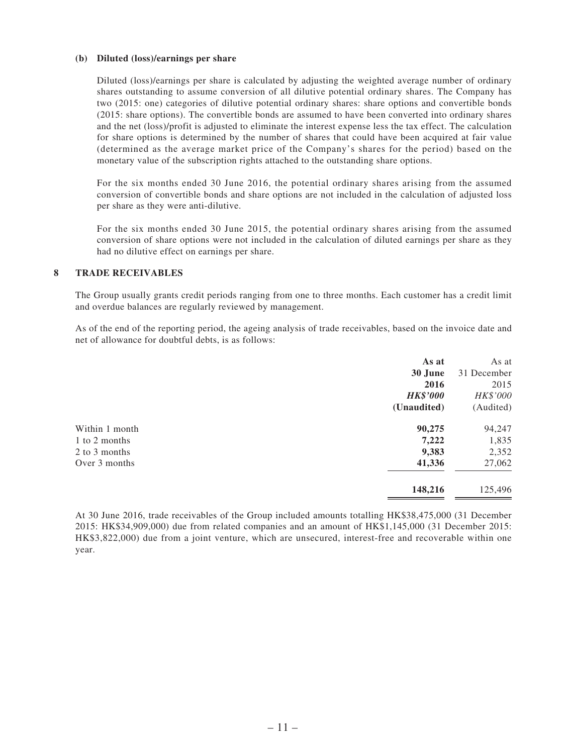#### **(b) Diluted (loss)/earnings per share**

Diluted (loss)/earnings per share is calculated by adjusting the weighted average number of ordinary shares outstanding to assume conversion of all dilutive potential ordinary shares. The Company has two (2015: one) categories of dilutive potential ordinary shares: share options and convertible bonds (2015: share options). The convertible bonds are assumed to have been converted into ordinary shares and the net (loss)/profit is adjusted to eliminate the interest expense less the tax effect. The calculation for share options is determined by the number of shares that could have been acquired at fair value (determined as the average market price of the Company's shares for the period) based on the monetary value of the subscription rights attached to the outstanding share options.

For the six months ended 30 June 2016, the potential ordinary shares arising from the assumed conversion of convertible bonds and share options are not included in the calculation of adjusted loss per share as they were anti-dilutive.

For the six months ended 30 June 2015, the potential ordinary shares arising from the assumed conversion of share options were not included in the calculation of diluted earnings per share as they had no dilutive effect on earnings per share.

#### **8 TRADE RECEIVABLES**

The Group usually grants credit periods ranging from one to three months. Each customer has a credit limit and overdue balances are regularly reviewed by management.

As of the end of the reporting period, the ageing analysis of trade receivables, based on the invoice date and net of allowance for doubtful debts, is as follows:

|                | As at           | As at       |
|----------------|-----------------|-------------|
|                | 30 June         | 31 December |
|                | 2016            | 2015        |
|                | <b>HK\$'000</b> | HK\$'000    |
|                | (Unaudited)     | (Audited)   |
| Within 1 month | 90,275          | 94,247      |
| 1 to 2 months  | 7,222           | 1,835       |
| 2 to 3 months  | 9,383           | 2,352       |
| Over 3 months  | 41,336          | 27,062      |
|                | 148,216         | 125,496     |
|                |                 |             |

At 30 June 2016, trade receivables of the Group included amounts totalling HK\$38,475,000 (31 December 2015: HK\$34,909,000) due from related companies and an amount of HK\$1,145,000 (31 December 2015: HK\$3,822,000) due from a joint venture, which are unsecured, interest-free and recoverable within one year.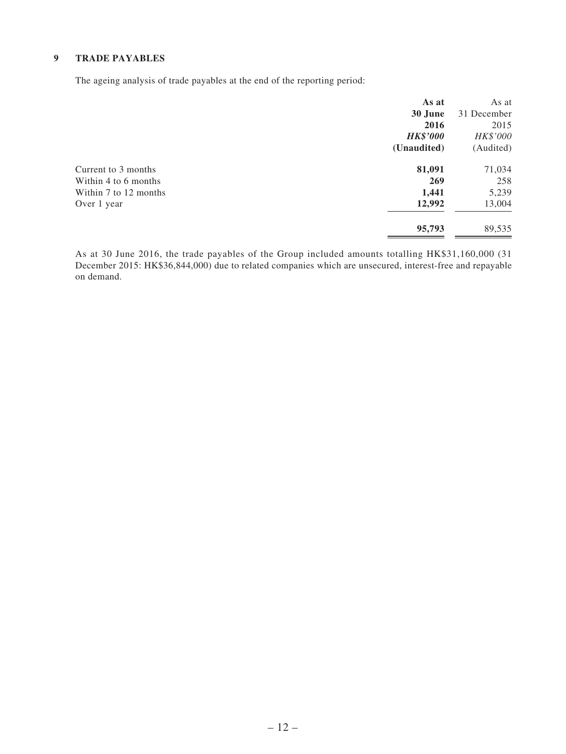#### **9 TRADE PAYABLES**

The ageing analysis of trade payables at the end of the reporting period:

|                       | As at           | As at       |
|-----------------------|-----------------|-------------|
|                       | 30 June         | 31 December |
|                       | 2016            | 2015        |
|                       | <b>HK\$'000</b> | HK\$'000    |
|                       | (Unaudited)     | (Audited)   |
| Current to 3 months   | 81,091          | 71,034      |
| Within 4 to 6 months  | 269             | 258         |
| Within 7 to 12 months | 1,441           | 5,239       |
| Over 1 year           | 12,992          | 13,004      |
|                       | 95,793          | 89,535      |

As at 30 June 2016, the trade payables of the Group included amounts totalling HK\$31,160,000 (31 December 2015: HK\$36,844,000) due to related companies which are unsecured, interest-free and repayable on demand.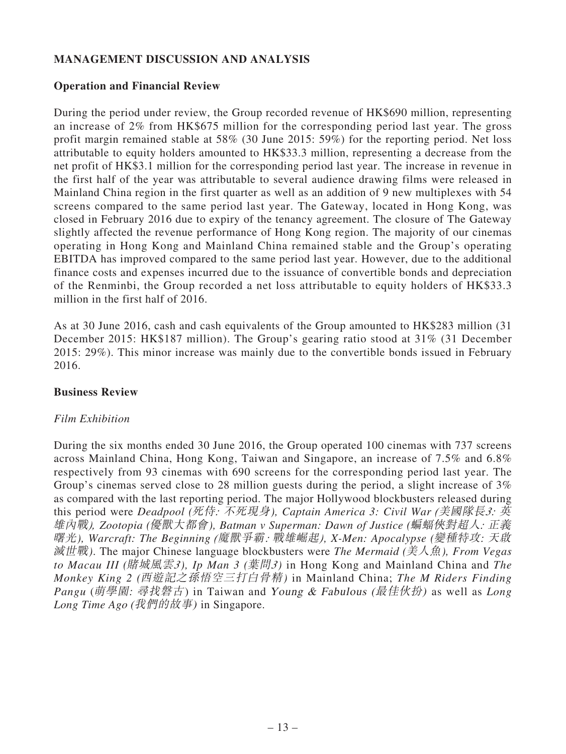# **MANAGEMENT DISCUSSION AND ANALYSIS**

### **Operation and Financial Review**

During the period under review, the Group recorded revenue of HK\$690 million, representing an increase of 2% from HK\$675 million for the corresponding period last year. The gross profit margin remained stable at 58% (30 June 2015: 59%) for the reporting period. Net loss attributable to equity holders amounted to HK\$33.3 million, representing a decrease from the net profit of HK\$3.1 million for the corresponding period last year. The increase in revenue in the first half of the year was attributable to several audience drawing films were released in Mainland China region in the first quarter as well as an addition of 9 new multiplexes with 54 screens compared to the same period last year. The Gateway, located in Hong Kong, was closed in February 2016 due to expiry of the tenancy agreement. The closure of The Gateway slightly affected the revenue performance of Hong Kong region. The majority of our cinemas operating in Hong Kong and Mainland China remained stable and the Group's operating EBITDA has improved compared to the same period last year. However, due to the additional finance costs and expenses incurred due to the issuance of convertible bonds and depreciation of the Renminbi, the Group recorded a net loss attributable to equity holders of HK\$33.3 million in the first half of 2016.

As at 30 June 2016, cash and cash equivalents of the Group amounted to HK\$283 million (31 December 2015: HK\$187 million). The Group's gearing ratio stood at 31% (31 December 2015: 29%). This minor increase was mainly due to the convertible bonds issued in February 2016.

### **Business Review**

### *Film Exhibition*

During the six months ended 30 June 2016, the Group operated 100 cinemas with 737 screens across Mainland China, Hong Kong, Taiwan and Singapore, an increase of 7.5% and 6.8% respectively from 93 cinemas with 690 screens for the corresponding period last year. The Group's cinemas served close to 28 million guests during the period, a slight increase of 3% as compared with the last reporting period. The major Hollywood blockbusters released during this period were *Deadpool (*死侍*:* 不死現身*), Captain America 3: Civil War (*美國隊長*3:* 英 雄內戰*), Zootopia (*優獸大都會*), Batman v Superman: Dawn of Justice (*蝙蝠俠對超人*:* 正義 曙光*), Warcraft: The Beginning (*魔獸爭霸*:* 戰雄崛起*), X-Men: Apocalypse (*變種特攻: 天啟 滅世戰*)*. The major Chinese language blockbusters were *The Mermaid (*美人魚*), From Vegas to Macau III (*賭城風雲*3), Ip Man 3 (*葉問*3)* in Hong Kong and Mainland China and *The Monkey King 2 (*西遊記之孫悟空三打白骨精*)* in Mainland China; *The M Riders Finding Pangu* (萌學園: 尋找磐古) in Taiwan and Young & Fabulous (最佳伙扮) as well as *Long Long Time Ago* (我們的故事) in Singapore.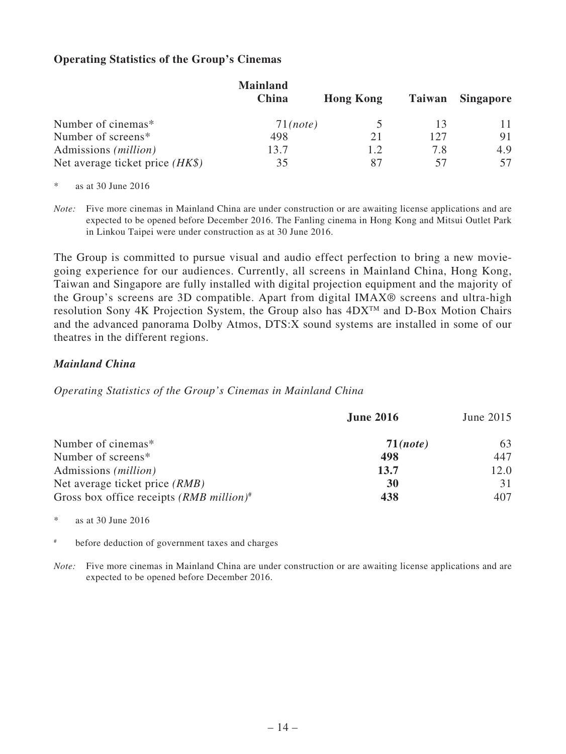## **Operating Statistics of the Group's Cinemas**

|                                   | <b>Mainland</b> |                  |        |                  |
|-----------------------------------|-----------------|------------------|--------|------------------|
|                                   | China           | <b>Hong Kong</b> | Taiwan | <b>Singapore</b> |
| Number of cinemas*                | $71$ (note)     |                  |        | 11               |
| Number of screens*                | 498             | 21               | 127    | 91               |
| Admissions ( <i>million</i> )     | 13.7            | 1.2              | 7.8    | 4.9              |
| Net average ticket price $(HK\$ ) | 35              | 87               |        | 57               |

\* as at 30 June 2016

*Note:* Five more cinemas in Mainland China are under construction or are awaiting license applications and are expected to be opened before December 2016. The Fanling cinema in Hong Kong and Mitsui Outlet Park in Linkou Taipei were under construction as at 30 June 2016.

The Group is committed to pursue visual and audio effect perfection to bring a new moviegoing experience for our audiences. Currently, all screens in Mainland China, Hong Kong, Taiwan and Singapore are fully installed with digital projection equipment and the majority of the Group's screens are 3D compatible. Apart from digital IMAX® screens and ultra-high resolution Sony 4K Projection System, the Group also has  $4DX^{TM}$  and D-Box Motion Chairs and the advanced panorama Dolby Atmos, DTS:X sound systems are installed in some of our theatres in the different regions.

### *Mainland China*

### *Operating Statistics of the Group's Cinemas in Mainland China*

| <b>June 2016</b> | June 2015 |
|------------------|-----------|
| $71$ (note)      | 63        |
| 498              | 447       |
| 13.7             | 12.0      |
| <b>30</b>        | 31        |
| 438              | 407       |
|                  |           |

\* as at 30 June 2016

# before deduction of government taxes and charges

*Note:* Five more cinemas in Mainland China are under construction or are awaiting license applications and are expected to be opened before December 2016.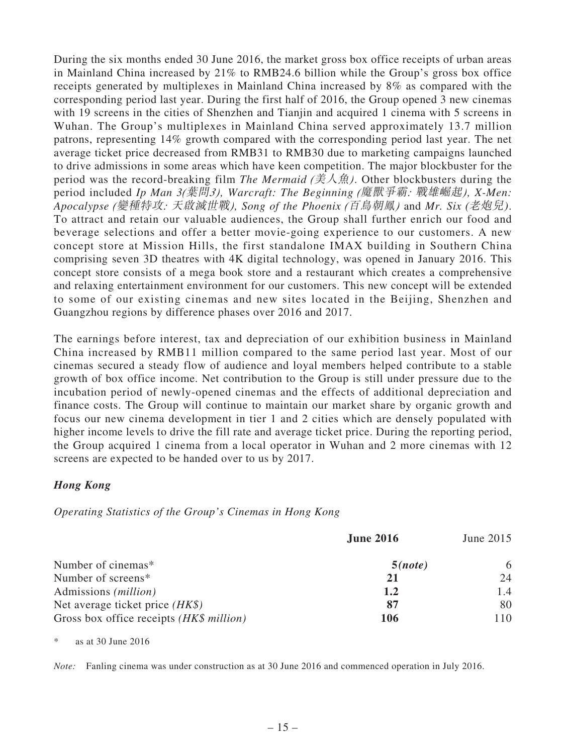During the six months ended 30 June 2016, the market gross box office receipts of urban areas in Mainland China increased by 21% to RMB24.6 billion while the Group's gross box office receipts generated by multiplexes in Mainland China increased by 8% as compared with the corresponding period last year. During the first half of 2016, the Group opened 3 new cinemas with 19 screens in the cities of Shenzhen and Tianjin and acquired 1 cinema with 5 screens in Wuhan. The Group's multiplexes in Mainland China served approximately 13.7 million patrons, representing 14% growth compared with the corresponding period last year. The net average ticket price decreased from RMB31 to RMB30 due to marketing campaigns launched to drive admissions in some areas which have keen competition. The major blockbuster for the period was the record-breaking film *The Mermaid (*美人魚*)*. Other blockbusters during the period included *Ip Man 3(*葉問*3), Warcraft: The Beginning (*魔獸爭霸*:* 戰雄崛起*), X-Men: Apocalypse (*變種特攻*:* 天啟滅世戰*), Song of the Phoenix (*百鳥朝鳳*)* and *Mr. Six* (老炮兒). To attract and retain our valuable audiences, the Group shall further enrich our food and beverage selections and offer a better movie-going experience to our customers. A new concept store at Mission Hills, the first standalone IMAX building in Southern China comprising seven 3D theatres with 4K digital technology, was opened in January 2016. This concept store consists of a mega book store and a restaurant which creates a comprehensive and relaxing entertainment environment for our customers. This new concept will be extended to some of our existing cinemas and new sites located in the Beijing, Shenzhen and Guangzhou regions by difference phases over 2016 and 2017.

The earnings before interest, tax and depreciation of our exhibition business in Mainland China increased by RMB11 million compared to the same period last year. Most of our cinemas secured a steady flow of audience and loyal members helped contribute to a stable growth of box office income. Net contribution to the Group is still under pressure due to the incubation period of newly-opened cinemas and the effects of additional depreciation and finance costs. The Group will continue to maintain our market share by organic growth and focus our new cinema development in tier 1 and 2 cities which are densely populated with higher income levels to drive the fill rate and average ticket price. During the reporting period, the Group acquired 1 cinema from a local operator in Wuhan and 2 more cinemas with 12 screens are expected to be handed over to us by 2017.

### *Hong Kong*

*Operating Statistics of the Group's Cinemas in Hong Kong*

|                                          | <b>June 2016</b> | June 2015<br>6 |
|------------------------------------------|------------------|----------------|
| Number of cinemas*                       | 5(note)          |                |
| Number of screens*                       | 21               | 24             |
| Admissions ( <i>million</i> )            | 1.2              | 1.4            |
| Net average ticket price $(HK\$ )        | 87               | 80             |
| Gross box office receipts (HK\$ million) | 106              | 110            |

as at 30 June 2016

*Note:* Fanling cinema was under construction as at 30 June 2016 and commenced operation in July 2016.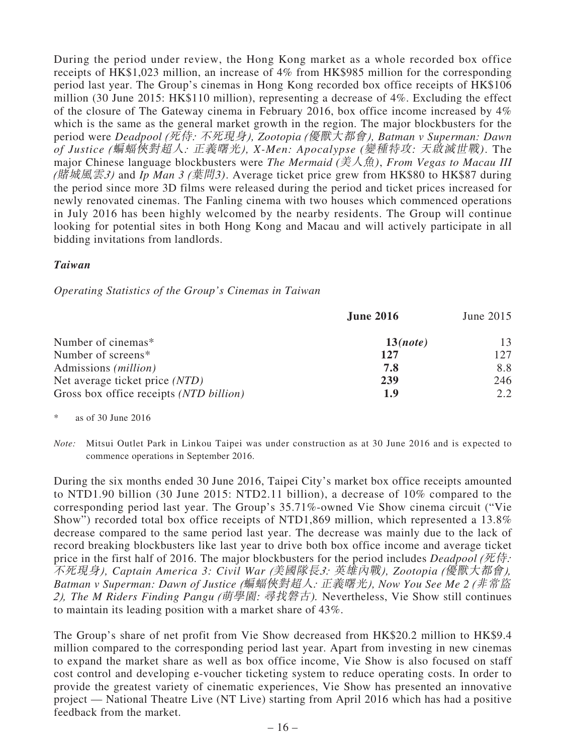During the period under review, the Hong Kong market as a whole recorded box office receipts of HK\$1,023 million, an increase of 4% from HK\$985 million for the corresponding period last year. The Group's cinemas in Hong Kong recorded box office receipts of HK\$106 million (30 June 2015: HK\$110 million), representing a decrease of 4%. Excluding the effect of the closure of The Gateway cinema in February 2016, box office income increased by 4% which is the same as the general market growth in the region. The major blockbusters for the period were *Deadpool (*死侍*:* 不死現身*), Zootopia (*優獸大都會*), Batman v Superman: Dawn of Justice (*蝙蝠俠對超人*:* 正義曙光*), X-Men: Apocalypse* (變種特攻: 天啟滅世戰). The major Chinese language blockbusters were *The Mermaid* (美人魚), *From Vegas to Macau III (*賭城風雲*3)* and *Ip Man 3 (*葉問3). Average ticket price grew from HK\$80 to HK\$87 during the period since more 3D films were released during the period and ticket prices increased for newly renovated cinemas. The Fanling cinema with two houses which commenced operations in July 2016 has been highly welcomed by the nearby residents. The Group will continue looking for potential sites in both Hong Kong and Macau and will actively participate in all bidding invitations from landlords.

### *Taiwan*

### *Operating Statistics of the Group's Cinemas in Taiwan*

|                                         | <b>June 2016</b> | June 2015 |
|-----------------------------------------|------------------|-----------|
| Number of cinemas*                      | 13(note)         | 13        |
| Number of screens*                      | 127              | 127       |
| Admissions <i>(million)</i>             | 7.8              | 8.8       |
| Net average ticket price (NTD)          | 239              | 246       |
| Gross box office receipts (NTD billion) | 1.9              | 2.2       |

as of  $30$  June  $2016$ 

*Note:* Mitsui Outlet Park in Linkou Taipei was under construction as at 30 June 2016 and is expected to commence operations in September 2016.

During the six months ended 30 June 2016, Taipei City's market box office receipts amounted to NTD1.90 billion (30 June 2015: NTD2.11 billion), a decrease of 10% compared to the corresponding period last year. The Group's 35.71%-owned Vie Show cinema circuit ("Vie Show") recorded total box office receipts of NTD1,869 million, which represented a 13.8% decrease compared to the same period last year. The decrease was mainly due to the lack of record breaking blockbusters like last year to drive both box office income and average ticket price in the first half of 2016. The major blockbusters for the period includes *Deadpool (*死侍*:*  不死現身*), Captain America 3: Civil War (*美國隊長*3:* 英雄內戰*), Zootopia (*優獸大都會*), Batman v Superman: Dawn of Justice (*蝙蝠俠對超人*:* 正義曙光*), Now You See Me 2 (*非常盜 *2), The M Riders Finding Pangu (*萌學園: 尋找磐古). Nevertheless, Vie Show still continues to maintain its leading position with a market share of 43%.

The Group's share of net profit from Vie Show decreased from HK\$20.2 million to HK\$9.4 million compared to the corresponding period last year. Apart from investing in new cinemas to expand the market share as well as box office income, Vie Show is also focused on staff cost control and developing e-voucher ticketing system to reduce operating costs. In order to provide the greatest variety of cinematic experiences, Vie Show has presented an innovative project — National Theatre Live (NT Live) starting from April 2016 which has had a positive feedback from the market.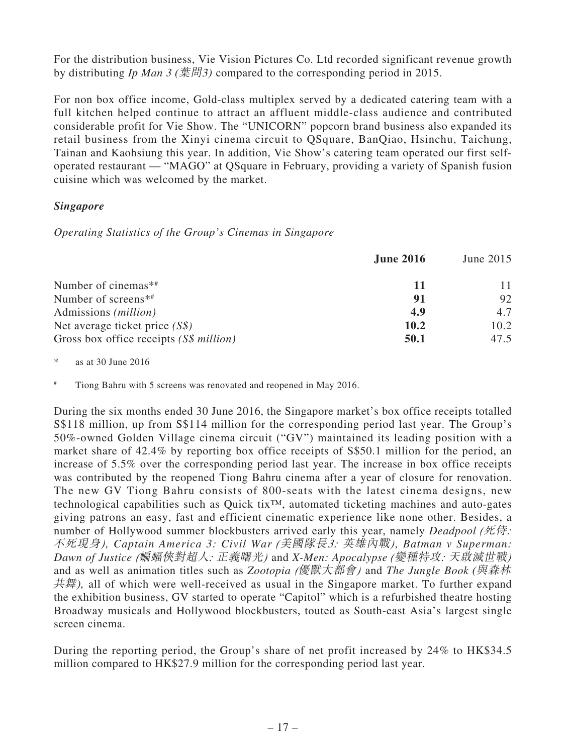For the distribution business, Vie Vision Pictures Co. Ltd recorded significant revenue growth by distributing *Ip Man 3* (葉問3) compared to the corresponding period in 2015.

For non box office income, Gold-class multiplex served by a dedicated catering team with a full kitchen helped continue to attract an affluent middle-class audience and contributed considerable profit for Vie Show. The "UNICORN" popcorn brand business also expanded its retail business from the Xinyi cinema circuit to QSquare, BanQiao, Hsinchu, Taichung, Tainan and Kaohsiung this year. In addition, Vie Show's catering team operated our first selfoperated restaurant — "MAGO" at QSquare in February, providing a variety of Spanish fusion cuisine which was welcomed by the market.

# *Singapore*

*Operating Statistics of the Group's Cinemas in Singapore*

|                                              | <b>June 2016</b> | June 2015 |
|----------------------------------------------|------------------|-----------|
| Number of cinemas <sup><math>**</math></sup> | 11               |           |
| Number of screens <sup>**</sup>              | 91               | 92        |
| Admissions ( <i>million</i> )                | 4.9              | 4.7       |
| Net average ticket price $(S\$ )             | 10.2             | 10.2      |
| Gross box office receipts (S\$ million)      | 50.1             | 47.5      |

\* as at 30 June 2016

# Tiong Bahru with 5 screens was renovated and reopened in May 2016.

During the six months ended 30 June 2016, the Singapore market's box office receipts totalled S\$118 million, up from S\$114 million for the corresponding period last year. The Group's 50%-owned Golden Village cinema circuit ("GV") maintained its leading position with a market share of 42.4% by reporting box office receipts of S\$50.1 million for the period, an increase of 5.5% over the corresponding period last year. The increase in box office receipts was contributed by the reopened Tiong Bahru cinema after a year of closure for renovation. The new GV Tiong Bahru consists of 800-seats with the latest cinema designs, new technological capabilities such as Quick tix™, automated ticketing machines and auto-gates giving patrons an easy, fast and efficient cinematic experience like none other. Besides, a number of Hollywood summer blockbusters arrived early this year, namely *Deadpool (死侍:* 不死現身*), Captain America 3: Civil War (*美國隊長*3:* 英雄內戰*), Batman v Superman: Dawn of Justice (*蝙蝠俠對超人*:* 正義曙光*)* and *X-Men: Apocalypse (*變種特攻*:* 天啟滅世戰*)* and as well as animation titles such as *Zootopia (*優獸大都會*)* and *The Jungle Book* (與森林 共舞), all of which were well-received as usual in the Singapore market. To further expand the exhibition business, GV started to operate "Capitol" which is a refurbished theatre hosting Broadway musicals and Hollywood blockbusters, touted as South-east Asia's largest single screen cinema.

During the reporting period, the Group's share of net profit increased by 24% to HK\$34.5 million compared to HK\$27.9 million for the corresponding period last year.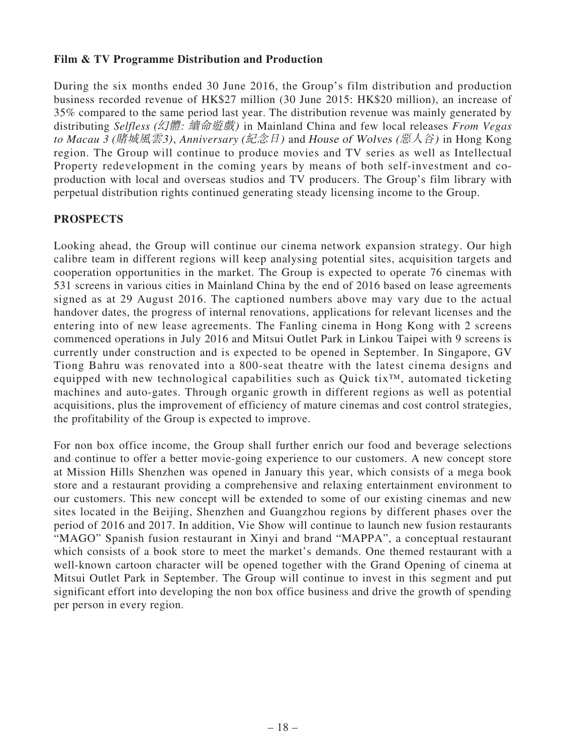### **Film & TV Programme Distribution and Production**

During the six months ended 30 June 2016, the Group's film distribution and production business recorded revenue of HK\$27 million (30 June 2015: HK\$20 million), an increase of 35% compared to the same period last year. The distribution revenue was mainly generated by distributing *Selfless* (幻體: 續命遊戲) in Mainland China and few local releases *From Vegas to Macau 3* (賭城風雲3), *Anniversary* (紀念日) and <sup>H</sup>ouse of Wolves (惡人谷) in Hong Kong region. The Group will continue to produce movies and TV series as well as Intellectual Property redevelopment in the coming years by means of both self-investment and coproduction with local and overseas studios and TV producers. The Group's film library with perpetual distribution rights continued generating steady licensing income to the Group.

# **PROSPECTS**

Looking ahead, the Group will continue our cinema network expansion strategy. Our high calibre team in different regions will keep analysing potential sites, acquisition targets and cooperation opportunities in the market. The Group is expected to operate 76 cinemas with 531 screens in various cities in Mainland China by the end of 2016 based on lease agreements signed as at 29 August 2016. The captioned numbers above may vary due to the actual handover dates, the progress of internal renovations, applications for relevant licenses and the entering into of new lease agreements. The Fanling cinema in Hong Kong with 2 screens commenced operations in July 2016 and Mitsui Outlet Park in Linkou Taipei with 9 screens is currently under construction and is expected to be opened in September. In Singapore, GV Tiong Bahru was renovated into a 800-seat theatre with the latest cinema designs and equipped with new technological capabilities such as Quick tix™, automated ticketing machines and auto-gates. Through organic growth in different regions as well as potential acquisitions, plus the improvement of efficiency of mature cinemas and cost control strategies, the profitability of the Group is expected to improve.

For non box office income, the Group shall further enrich our food and beverage selections and continue to offer a better movie-going experience to our customers. A new concept store at Mission Hills Shenzhen was opened in January this year, which consists of a mega book store and a restaurant providing a comprehensive and relaxing entertainment environment to our customers. This new concept will be extended to some of our existing cinemas and new sites located in the Beijing, Shenzhen and Guangzhou regions by different phases over the period of 2016 and 2017. In addition, Vie Show will continue to launch new fusion restaurants "MAGO" Spanish fusion restaurant in Xinyi and brand "MAPPA", a conceptual restaurant which consists of a book store to meet the market's demands. One themed restaurant with a well-known cartoon character will be opened together with the Grand Opening of cinema at Mitsui Outlet Park in September. The Group will continue to invest in this segment and put significant effort into developing the non box office business and drive the growth of spending per person in every region.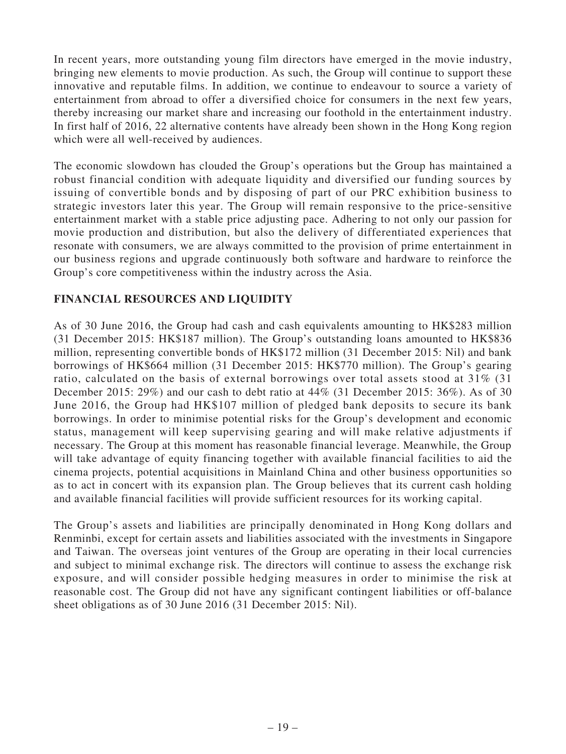In recent years, more outstanding young film directors have emerged in the movie industry, bringing new elements to movie production. As such, the Group will continue to support these innovative and reputable films. In addition, we continue to endeavour to source a variety of entertainment from abroad to offer a diversified choice for consumers in the next few years, thereby increasing our market share and increasing our foothold in the entertainment industry. In first half of 2016, 22 alternative contents have already been shown in the Hong Kong region which were all well-received by audiences.

The economic slowdown has clouded the Group's operations but the Group has maintained a robust financial condition with adequate liquidity and diversified our funding sources by issuing of convertible bonds and by disposing of part of our PRC exhibition business to strategic investors later this year. The Group will remain responsive to the price-sensitive entertainment market with a stable price adjusting pace. Adhering to not only our passion for movie production and distribution, but also the delivery of differentiated experiences that resonate with consumers, we are always committed to the provision of prime entertainment in our business regions and upgrade continuously both software and hardware to reinforce the Group's core competitiveness within the industry across the Asia.

# **FINANCIAL RESOURCES AND LIQUIDITY**

As of 30 June 2016, the Group had cash and cash equivalents amounting to HK\$283 million (31 December 2015: HK\$187 million). The Group's outstanding loans amounted to HK\$836 million, representing convertible bonds of HK\$172 million (31 December 2015: Nil) and bank borrowings of HK\$664 million (31 December 2015: HK\$770 million). The Group's gearing ratio, calculated on the basis of external borrowings over total assets stood at 31% (31 December 2015: 29%) and our cash to debt ratio at 44% (31 December 2015: 36%). As of 30 June 2016, the Group had HK\$107 million of pledged bank deposits to secure its bank borrowings. In order to minimise potential risks for the Group's development and economic status, management will keep supervising gearing and will make relative adjustments if necessary. The Group at this moment has reasonable financial leverage. Meanwhile, the Group will take advantage of equity financing together with available financial facilities to aid the cinema projects, potential acquisitions in Mainland China and other business opportunities so as to act in concert with its expansion plan. The Group believes that its current cash holding and available financial facilities will provide sufficient resources for its working capital.

The Group's assets and liabilities are principally denominated in Hong Kong dollars and Renminbi, except for certain assets and liabilities associated with the investments in Singapore and Taiwan. The overseas joint ventures of the Group are operating in their local currencies and subject to minimal exchange risk. The directors will continue to assess the exchange risk exposure, and will consider possible hedging measures in order to minimise the risk at reasonable cost. The Group did not have any significant contingent liabilities or off-balance sheet obligations as of 30 June 2016 (31 December 2015: Nil).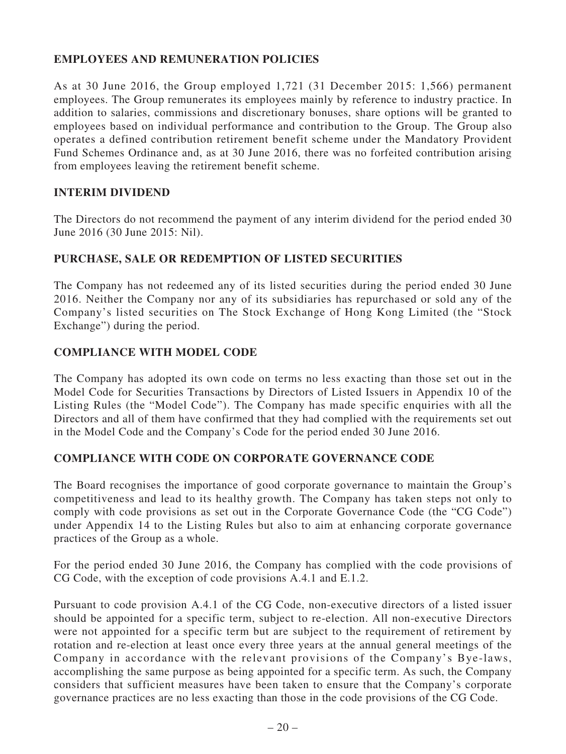# **EMPLOYEES AND REMUNERATION POLICIES**

As at 30 June 2016, the Group employed 1,721 (31 December 2015: 1,566) permanent employees. The Group remunerates its employees mainly by reference to industry practice. In addition to salaries, commissions and discretionary bonuses, share options will be granted to employees based on individual performance and contribution to the Group. The Group also operates a defined contribution retirement benefit scheme under the Mandatory Provident Fund Schemes Ordinance and, as at 30 June 2016, there was no forfeited contribution arising from employees leaving the retirement benefit scheme.

### **INTERIM DIVIDEND**

The Directors do not recommend the payment of any interim dividend for the period ended 30 June 2016 (30 June 2015: Nil).

### **PURCHASE, SALE OR REDEMPTION OF LISTED SECURITIES**

The Company has not redeemed any of its listed securities during the period ended 30 June 2016. Neither the Company nor any of its subsidiaries has repurchased or sold any of the Company's listed securities on The Stock Exchange of Hong Kong Limited (the "Stock Exchange") during the period.

### **COMPLIANCE WITH MODEL CODE**

The Company has adopted its own code on terms no less exacting than those set out in the Model Code for Securities Transactions by Directors of Listed Issuers in Appendix 10 of the Listing Rules (the "Model Code"). The Company has made specific enquiries with all the Directors and all of them have confirmed that they had complied with the requirements set out in the Model Code and the Company's Code for the period ended 30 June 2016.

### **COMPLIANCE WITH CODE ON CORPORATE GOVERNANCE CODE**

The Board recognises the importance of good corporate governance to maintain the Group's competitiveness and lead to its healthy growth. The Company has taken steps not only to comply with code provisions as set out in the Corporate Governance Code (the "CG Code") under Appendix 14 to the Listing Rules but also to aim at enhancing corporate governance practices of the Group as a whole.

For the period ended 30 June 2016, the Company has complied with the code provisions of CG Code, with the exception of code provisions A.4.1 and E.1.2.

Pursuant to code provision A.4.1 of the CG Code, non-executive directors of a listed issuer should be appointed for a specific term, subject to re-election. All non-executive Directors were not appointed for a specific term but are subject to the requirement of retirement by rotation and re-election at least once every three years at the annual general meetings of the Company in accordance with the relevant provisions of the Company's Bye-laws, accomplishing the same purpose as being appointed for a specific term. As such, the Company considers that sufficient measures have been taken to ensure that the Company's corporate governance practices are no less exacting than those in the code provisions of the CG Code.